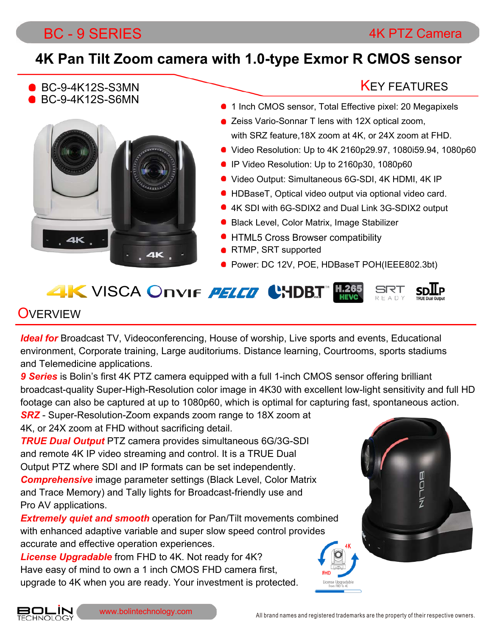### BC - 9 SERIES 4K PTZ Camera

### **4K Pan Tilt Zoom camera with 1.0-type Exmor R CMOS sensor**

BC-9-4K12S-S3MN BC-9-4K12S-S6MN



### **KEY FEATURES**

- 1 Inch CMOS sensor, Total Effective pixel: 20 Megapixels
- Zeiss Vario-Sonnar T lens with 12X optical zoom, with SRZ feature,18X zoom at 4K, or 24X zoom at FHD.
- Video Resolution: Up to 4K 2160p29.97, 1080i59.94, 1080p60
- IP Video Resolution: Up to 2160p30, 1080p60
- Video Output: Simultaneous 6G-SDI, 4K HDMI, 4K IP
- HDBaseT, Optical video output via optional video card.
- 4K SDI with 6G-SDIX2 and Dual Link 3G-SDIX2 output
- Black Level, Color Matrix, Image Stabilizer
- **HTML5 Cross Browser compatibility**
- **RTMP, SRT supported**
- Power: DC 12V, POE, HDBaseT POH(IEEE802.3bt)

# **4K** VISCA Onvir *PELED* CHDBJ FOR

### **OVERVIEW**

*Ideal for* Broadcast TV, Videoconferencing, House of worship, Live sports and events, Educational environment, Corporate training, Large auditoriums. Distance learning, Courtrooms, sports stadiums and Telemedicine applications.

*9 Series* is Bolin's first 4K PTZ camera equipped with a full 1-inch CMOS sensor offering brilliant broadcast-quality Super-High-Resolution color image in 4K30 with excellent low-light sensitivity and full HD footage can also be captured at up to 1080p60, which is optimal for capturing fast, spontaneous action.

*SRZ* - Super-Resolution-Zoom expands zoom range to 18X zoom at 4K, or 24X zoom at FHD without sacrificing detail.

*TRUE Dual Output* PTZ camera provides simultaneous 6G/3G-SDI and remote 4K IP video streaming and control. It is a TRUE Dual Output PTZ where SDI and IP formats can be set independently. *Comprehensive* image parameter settings (Black Level, Color Matrix and Trace Memory) and Tally lights for Broadcast-friendly use and Pro AV applications.

**Extremely quiet and smooth** operation for Pan/Tilt movements combined with enhanced adaptive variable and super slow speed control provides accurate and effective operation experiences.

*License Upgradable* from FHD to 4K. Not ready for 4K? Have easy of mind to own a 1 inch CMOS FHD camera first, upgrade to 4K when you are ready. Your investment is protected.



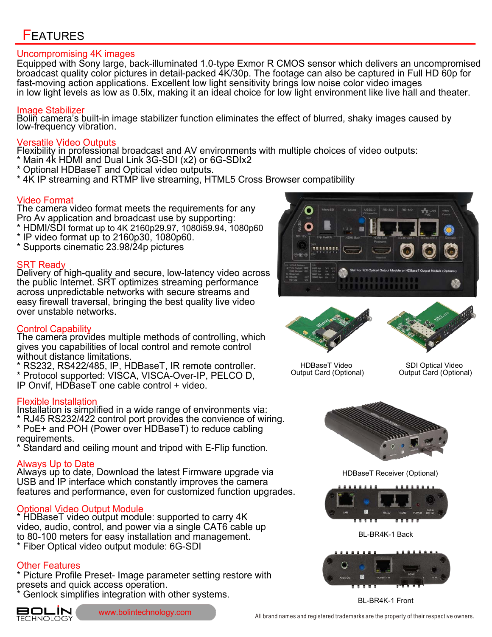### **FEATURES**

#### Uncompromising 4K images

Equipped with Sony large, back-illuminated 1.0-type Exmor R CMOS sensor which delivers an uncompromised broadcast quality color pictures in detail-packed 4K/30p. The footage can also be captured in Full HD 60p for fast-moving action applications. Excellent low light sensitivity brings low noise color video images in low light levels as low as 0.5lx, making it an ideal choice for low light environment like live hall and theater.

#### Image Stabilizer

Bolin camera's built-in image stabilizer function eliminates the effect of blurred, shaky images caused by low-frequency vibration.

#### Versatile Video Outputs

Flexibility in professional broadcast and AV environments with multiple choices of video outputs:

- \* Main 4k HDMI and Dual Link 3G-SDI (x2) or 6G-SDIx2
- \* Optional HDBaseT and Optical video outputs.
- \* 4K IP streaming and RTMP live streaming, HTML5 Cross Browser compatibility

#### Video Format

The camera video format meets the requirements for any Pro Av application and broadcast use by supporting:

- \* HDMI/SDI format up to 4K 2160p29.97, 1080i59.94, 1080p60
- \* IP video format up to 2160p30, 1080p60.
- \* Supports cinematic 23.98/24p pictures

#### SRT Ready

Delivery of high-quality and secure, low-latency video across the public Internet. SRT optimizes streaming performance across unpredictable networks with secure streams and easy firewall traversal, bringing the best quality live video over unstable networks.

#### Control Capability

The camera provides multiple methods of controlling, which gives you capabilities of local control and remote control without distance limitations.

\* RS232, RS422/485, IP, HDBaseT, IR remote controller. \* Protocol supported: VISCA, VISCA-Over-IP, PELCO D, IP Onvif, HDBaseT one cable control + video.

#### Flexible Installation

Installation is simplified in a wide range of environments via: \* RJ45 RS232/422 control port provides the convience of wiring.

- \* PoE+ and POH (Power over HDBaseT) to reduce cabling requirements.
- \* Standard and ceiling mount and tripod with E-Flip function.

#### Always Up to Date

Always up to date, Download the latest Firmware upgrade via USB and IP interface which constantly improves the camera features and performance, even for customized function upgrades.

#### Optional Video Output Module

\* HDBaseT video output module: supported to carry 4K video, audio, control, and power via a single CAT6 cable up to 80-100 meters for easy installation and management. \* Fiber Optical video output module: 6G-SDI

#### Other Features

\* Picture Profile Preset- Image parameter setting restore with presets and quick access operation.

Genlock simplifies integration with other systems.







HDBaseT Video Output Card (Optional)

SDI Optical Video Output Card (Optional)



HDBaseT Receiver (Optional)



BL-BR4K-1 Back



BL-BR4K-1 Front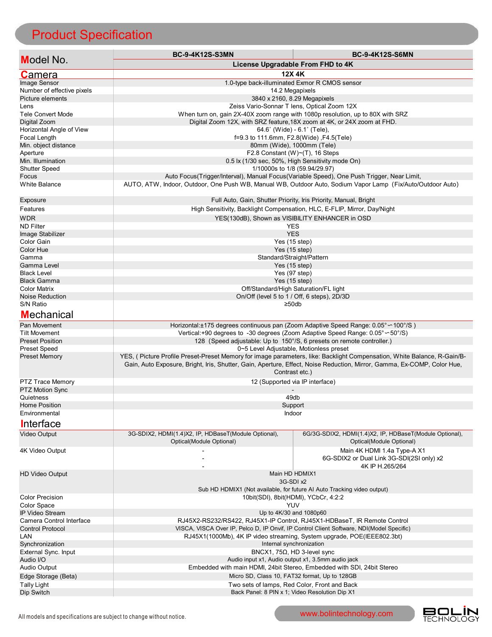# Product Specification

|                                          | <b>BC-9-4K12S-S3MN</b>                                                                                                                                                                                                                             | <b>BC-9-4K12S-S6MN</b>                                                              |
|------------------------------------------|----------------------------------------------------------------------------------------------------------------------------------------------------------------------------------------------------------------------------------------------------|-------------------------------------------------------------------------------------|
| <b>Model No.</b>                         |                                                                                                                                                                                                                                                    | License Upgradable From FHD to 4K                                                   |
| <b>Camera</b>                            | 12X 4K                                                                                                                                                                                                                                             |                                                                                     |
| Image Sensor                             | 1.0-type back-illuminated Exmor R CMOS sensor                                                                                                                                                                                                      |                                                                                     |
| Number of effective pixels               | 14.2 Megapixels                                                                                                                                                                                                                                    |                                                                                     |
| Picture elements                         | 3840 x 2160, 8.29 Megapixels                                                                                                                                                                                                                       |                                                                                     |
| Lens                                     | Zeiss Vario-Sonnar T lens, Optical Zoom 12X                                                                                                                                                                                                        |                                                                                     |
| <b>Tele Convert Mode</b>                 |                                                                                                                                                                                                                                                    | When turn on, gain 2X-40X zoom range with 1080p resolution, up to 80X with SRZ      |
| Digital Zoom<br>Horizontal Angle of View | Digital Zoom 12X, with SRZ feature, 18X zoom at 4K, or 24X zoom at FHD.<br>$64.6^{\circ}$ (Wide) - $6.1^{\circ}$ (Tele),                                                                                                                           |                                                                                     |
| Focal Length                             | f=9.3 to 111.6mm, F2.8(Wide), F4.5(Tele)                                                                                                                                                                                                           |                                                                                     |
| Min. object distance                     | 80mm (Wide), 1000mm (Tele)                                                                                                                                                                                                                         |                                                                                     |
| Aperture                                 | F2.8 Constant (W) $\sim$ (T), 16 Steps                                                                                                                                                                                                             |                                                                                     |
| Min. Illumination                        | 0.5 lx (1/30 sec, 50%, High Sensitivity mode On)                                                                                                                                                                                                   |                                                                                     |
| <b>Shutter Speed</b>                     | 1/10000s to 1/8 (59.94/29.97)                                                                                                                                                                                                                      |                                                                                     |
| Focus                                    | Auto Focus(Trigger/Interval), Manual Focus(Variable Speed), One Push Trigger, Near Limit,                                                                                                                                                          |                                                                                     |
| <b>White Balance</b>                     | AUTO, ATW, Indoor, Outdoor, One Push WB, Manual WB, Outdoor Auto, Sodium Vapor Lamp (Fix/Auto/Outdoor Auto)                                                                                                                                        |                                                                                     |
| Exposure                                 | Full Auto, Gain, Shutter Priority, Iris Priority, Manual, Bright                                                                                                                                                                                   |                                                                                     |
| Features                                 | High Sensitivity, Backlight Compensation, HLC, E-FLIP, Mirror, Day/Night                                                                                                                                                                           |                                                                                     |
| <b>WDR</b>                               | YES(130dB), Shown as VISIBILITY ENHANCER in OSD                                                                                                                                                                                                    |                                                                                     |
| <b>ND Filter</b>                         | <b>YES</b>                                                                                                                                                                                                                                         |                                                                                     |
| Image Stabilizer                         | <b>YES</b>                                                                                                                                                                                                                                         |                                                                                     |
| Color Gain                               | Yes (15 step)                                                                                                                                                                                                                                      |                                                                                     |
| Color Hue                                | Yes $(15$ step)                                                                                                                                                                                                                                    |                                                                                     |
| Gamma<br>Gamma Level                     | Standard/Straight/Pattern<br>Yes (15 step)                                                                                                                                                                                                         |                                                                                     |
| <b>Black Level</b>                       | Yes (97 step)                                                                                                                                                                                                                                      |                                                                                     |
| <b>Black Gamma</b>                       | Yes $(15$ step)                                                                                                                                                                                                                                    |                                                                                     |
| <b>Color Matrix</b>                      | Off/Standard/High Saturation/FL light                                                                                                                                                                                                              |                                                                                     |
| Noise Reduction                          | On/Off (level 5 to 1 / Off, 6 steps), 2D/3D                                                                                                                                                                                                        |                                                                                     |
| S/N Ratio                                | ≥50db                                                                                                                                                                                                                                              |                                                                                     |
| <b>Mechanical</b>                        |                                                                                                                                                                                                                                                    |                                                                                     |
| Pan Movement                             | Horizontal:±175 degrees continuous pan (Zoom Adaptive Speed Range: 0.05° ~ 100°/S)                                                                                                                                                                 |                                                                                     |
| <b>Tilt Movement</b>                     | Vertical:+90 degrees to -30 degrees (Zoom Adaptive Speed Range: 0.05° $\sim$ 50°/S)                                                                                                                                                                |                                                                                     |
| <b>Preset Position</b>                   |                                                                                                                                                                                                                                                    | 128 (Speed adjustable: Up to 150°/S, 6 presets on remote controller.)               |
| <b>Preset Speed</b>                      | 0~5 Level Adjustable, Motionless preset                                                                                                                                                                                                            |                                                                                     |
| <b>Preset Memory</b>                     | YES, (Picture Profile Preset-Preset Memory for image parameters, like: Backlight Compensation, White Balance, R-Gain/B-<br>Gain, Auto Exposure, Bright, Iris, Shutter, Gain, Aperture, Effect, Noise Reduction, Mirror, Gamma, Ex-COMP, Color Hue, |                                                                                     |
|                                          | Contrast etc.)                                                                                                                                                                                                                                     |                                                                                     |
| PTZ Trace Memory                         | 12 (Supported via IP interface)                                                                                                                                                                                                                    |                                                                                     |
| <b>PTZ Motion Sync</b>                   |                                                                                                                                                                                                                                                    |                                                                                     |
| Quietness<br><b>Home Position</b>        | 49db                                                                                                                                                                                                                                               |                                                                                     |
| Environmental                            | Support<br>Indoor                                                                                                                                                                                                                                  |                                                                                     |
|                                          |                                                                                                                                                                                                                                                    |                                                                                     |
| Interface                                |                                                                                                                                                                                                                                                    |                                                                                     |
| Video Output                             | 3G-SDIX2, HDMI(1.4)X2, IP, HDBaseT(Module Optional),<br>Optical(Module Optional)                                                                                                                                                                   | 6G/3G-SDIX2, HDMI(1.4)X2, IP, HDBaseT(Module Optional),<br>Optical(Module Optional) |
| 4K Video Output                          |                                                                                                                                                                                                                                                    | Main 4K HDMI 1.4a Type-A X1<br>6G-SDIX2 or Dual Link 3G-SDI(2SI only) x2            |
| <b>HD Video Output</b>                   | 4K IP H.265/264<br>Main HD HDMIX1                                                                                                                                                                                                                  |                                                                                     |
|                                          | 3G-SDI x2<br>Sub HD HDMIX1 (Not available, for future AI Auto Tracking video output)                                                                                                                                                               |                                                                                     |
|                                          |                                                                                                                                                                                                                                                    |                                                                                     |
| <b>Color Precision</b>                   | 10bit(SDI), 8bit(HDMI), YCbCr, 4:2:2                                                                                                                                                                                                               |                                                                                     |
| Color Space                              | YUV                                                                                                                                                                                                                                                |                                                                                     |
| <b>IP Video Stream</b>                   | Up to 4K/30 and 1080p60                                                                                                                                                                                                                            |                                                                                     |
| Camera Control Interface                 | RJ45X2-RS232/RS422, RJ45X1-IP Control, RJ45X1-HDBaseT, IR Remote Control                                                                                                                                                                           |                                                                                     |
| <b>Control Protocol</b>                  | VISCA, VISCA Over IP, Pelco D, IP Onvif, IP Control Client Software, NDI(Model Specific)                                                                                                                                                           |                                                                                     |
| LAN                                      | RJ45X1(1000Mb), 4K IP video streaming, System upgrade, POE(IEEE802.3bt)                                                                                                                                                                            |                                                                                     |
| Synchronization<br>External Sync. Input  | Internal synchronization<br>BNCX1, 75 $\Omega$ , HD 3-level sync                                                                                                                                                                                   |                                                                                     |
| Audio I/O                                | Audio input x1, Audio output x1, 3.5mm audio jack                                                                                                                                                                                                  |                                                                                     |
| <b>Audio Output</b>                      | Embedded with main HDMI, 24bit Stereo, Embedded with SDI, 24bit Stereo                                                                                                                                                                             |                                                                                     |
| Edge Storage (Beta)                      | Micro SD, Class 10, FAT32 format, Up to 128GB                                                                                                                                                                                                      |                                                                                     |
| <b>Tally Light</b>                       | Two sets of lamps, Red Color, Front and Back                                                                                                                                                                                                       |                                                                                     |
| Dip Switch                               | Back Panel: 8 PIN x 1; Video Resolution Dip X1                                                                                                                                                                                                     |                                                                                     |
|                                          |                                                                                                                                                                                                                                                    |                                                                                     |

**BOLIN**<br>TECHNOLOGY